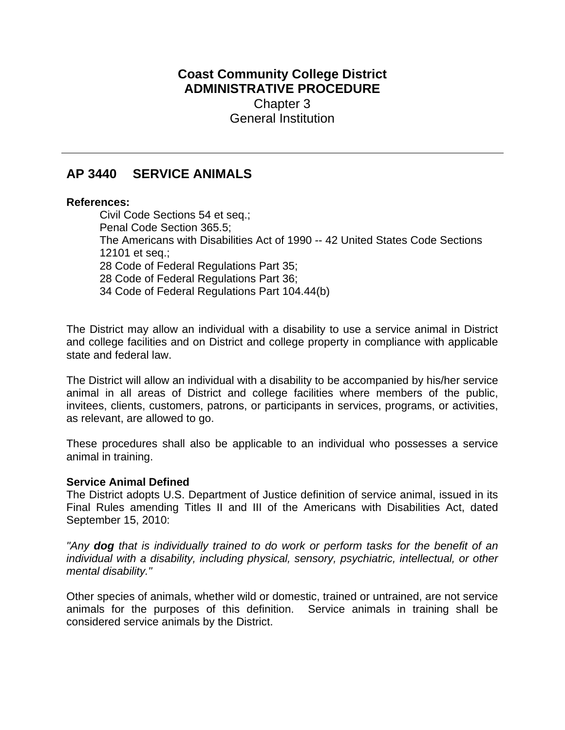## **Coast Community College District ADMINISTRATIVE PROCEDURE** Chapter 3 General Institution

# **AP 3440 SERVICE ANIMALS**

#### **References:**

Civil Code Sections 54 et seq.; Penal Code Section 365.5; The Americans with Disabilities Act of 1990 -- 42 United States Code Sections 12101 et seq.; 28 Code of Federal Regulations Part 35; 28 Code of Federal Regulations Part 36; 34 Code of Federal Regulations Part 104.44(b)

The District may allow an individual with a disability to use a service animal in District and college facilities and on District and college property in compliance with applicable state and federal law.

The District will allow an individual with a disability to be accompanied by his/her service animal in all areas of District and college facilities where members of the public, invitees, clients, customers, patrons, or participants in services, programs, or activities, as relevant, are allowed to go.

These procedures shall also be applicable to an individual who possesses a service animal in training.

### **Service Animal Defined**

The District adopts U.S. Department of Justice definition of service animal, issued in its Final Rules amending Titles II and III of the Americans with Disabilities Act, dated September 15, 2010:

*"Any dog that is individually trained to do work or perform tasks for the benefit of an individual with a disability, including physical, sensory, psychiatric, intellectual, or other mental disability."* 

Other species of animals, whether wild or domestic, trained or untrained, are not service animals for the purposes of this definition. Service animals in training shall be considered service animals by the District.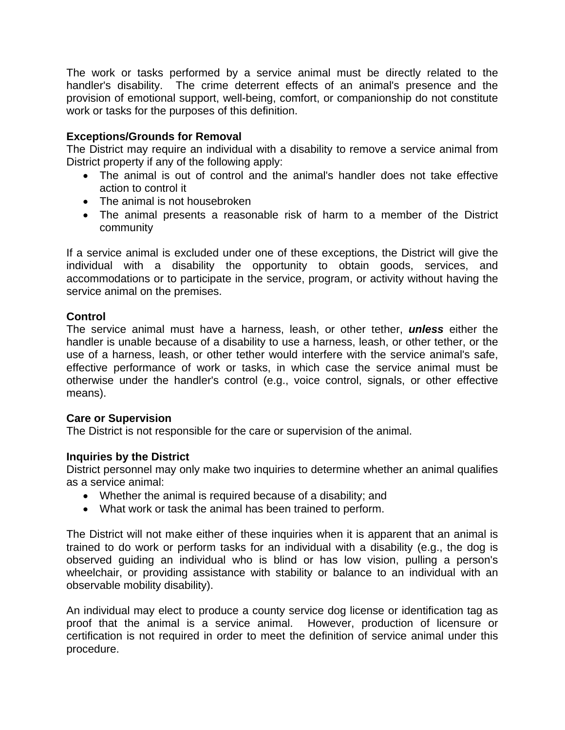The work or tasks performed by a service animal must be directly related to the handler's disability. The crime deterrent effects of an animal's presence and the provision of emotional support, well-being, comfort, or companionship do not constitute work or tasks for the purposes of this definition.

### **Exceptions/Grounds for Removal**

The District may require an individual with a disability to remove a service animal from District property if any of the following apply:

- The animal is out of control and the animal's handler does not take effective action to control it
- The animal is not housebroken
- The animal presents a reasonable risk of harm to a member of the District community

If a service animal is excluded under one of these exceptions, the District will give the individual with a disability the opportunity to obtain goods, services, and accommodations or to participate in the service, program, or activity without having the service animal on the premises.

### **Control**

The service animal must have a harness, leash, or other tether, *unless* either the handler is unable because of a disability to use a harness, leash, or other tether, or the use of a harness, leash, or other tether would interfere with the service animal's safe, effective performance of work or tasks, in which case the service animal must be otherwise under the handler's control (e.g., voice control, signals, or other effective means).

### **Care or Supervision**

The District is not responsible for the care or supervision of the animal.

### **Inquiries by the District**

District personnel may only make two inquiries to determine whether an animal qualifies as a service animal:

- Whether the animal is required because of a disability; and
- What work or task the animal has been trained to perform.

The District will not make either of these inquiries when it is apparent that an animal is trained to do work or perform tasks for an individual with a disability (e.g., the dog is observed guiding an individual who is blind or has low vision, pulling a person's wheelchair, or providing assistance with stability or balance to an individual with an observable mobility disability).

An individual may elect to produce a county service dog license or identification tag as proof that the animal is a service animal. However, production of licensure or certification is not required in order to meet the definition of service animal under this procedure.